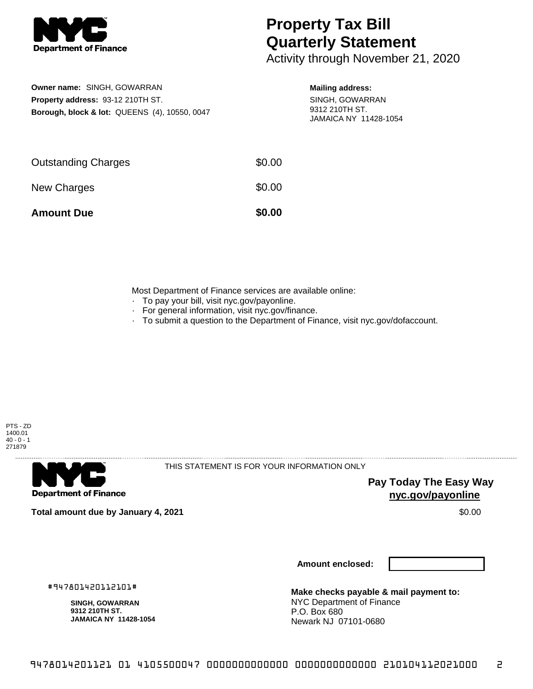

## **Property Tax Bill Quarterly Statement**

Activity through November 21, 2020

**Owner name:** SINGH, GOWARRAN **Property address:** 93-12 210TH ST. **Borough, block & lot:** QUEENS (4), 10550, 0047

## **Mailing address:**

SINGH, GOWARRAN 9312 210TH ST. JAMAICA NY 11428-1054

| <b>Amount Due</b>          | \$0.00 |
|----------------------------|--------|
| New Charges                | \$0.00 |
| <b>Outstanding Charges</b> | \$0.00 |

Most Department of Finance services are available online:

- · To pay your bill, visit nyc.gov/payonline.
- For general information, visit nyc.gov/finance.
- · To submit a question to the Department of Finance, visit nyc.gov/dofaccount.



**Department of Finance** 

THIS STATEMENT IS FOR YOUR INFORMATION ONLY

**Pay Today The Easy Way nyc.gov/payonline**

**Total amount due by January 4, 2021** \$0.00

**Amount enclosed:**

#947801420112101#

**SINGH, GOWARRAN 9312 210TH ST. JAMAICA NY 11428-1054**

**Make checks payable & mail payment to:** NYC Department of Finance P.O. Box 680 Newark NJ 07101-0680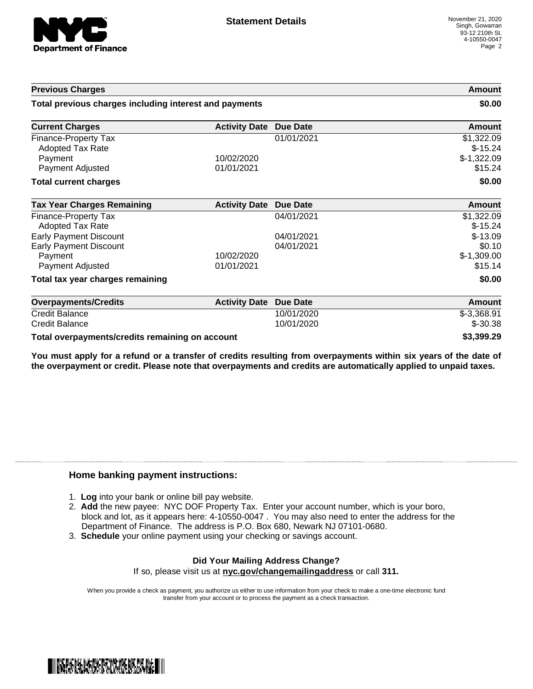

| <b>Previous Charges</b>                                |                      |                 | Amount                  |
|--------------------------------------------------------|----------------------|-----------------|-------------------------|
| Total previous charges including interest and payments |                      |                 | \$0.00                  |
| <b>Current Charges</b>                                 | <b>Activity Date</b> | Due Date        | <b>Amount</b>           |
| Finance-Property Tax<br><b>Adopted Tax Rate</b>        |                      | 01/01/2021      | \$1,322.09<br>$$-15.24$ |
| Payment                                                | 10/02/2020           |                 | $$-1,322.09$            |
| Payment Adjusted                                       | 01/01/2021           |                 | \$15.24                 |
| <b>Total current charges</b>                           |                      |                 | \$0.00                  |
| <b>Tax Year Charges Remaining</b>                      | <b>Activity Date</b> | <b>Due Date</b> | <b>Amount</b>           |
| Finance-Property Tax<br>Adopted Tax Rate               |                      | 04/01/2021      | \$1,322.09<br>$$-15.24$ |
| <b>Early Payment Discount</b>                          |                      | 04/01/2021      | $$-13.09$               |
| <b>Early Payment Discount</b>                          |                      | 04/01/2021      | \$0.10                  |
| Payment                                                | 10/02/2020           |                 | $$-1,309.00$            |
| Payment Adjusted                                       | 01/01/2021           |                 | \$15.14                 |
| Total tax year charges remaining                       |                      |                 | \$0.00                  |
| <b>Overpayments/Credits</b>                            | <b>Activity Date</b> | Due Date        | <b>Amount</b>           |
| <b>Credit Balance</b>                                  |                      | 10/01/2020      | $$-3,368.91$            |
| <b>Credit Balance</b>                                  |                      | 10/01/2020      | $$ -30.38$              |
| Total overpayments/credits remaining on account        |                      |                 | \$3,399.29              |

You must apply for a refund or a transfer of credits resulting from overpayments within six years of the date of **the overpayment or credit. Please note that overpayments and credits are automatically applied to unpaid taxes.**

## **Home banking payment instructions:**

- 1. **Log** into your bank or online bill pay website.
- 2. **Add** the new payee: NYC DOF Property Tax. Enter your account number, which is your boro, block and lot, as it appears here: 4-10550-0047 . You may also need to enter the address for the Department of Finance. The address is P.O. Box 680, Newark NJ 07101-0680.
- 3. **Schedule** your online payment using your checking or savings account.

## **Did Your Mailing Address Change?**

If so, please visit us at **nyc.gov/changemailingaddress** or call **311.**

When you provide a check as payment, you authorize us either to use information from your check to make a one-time electronic fund transfer from your account or to process the payment as a check transaction.